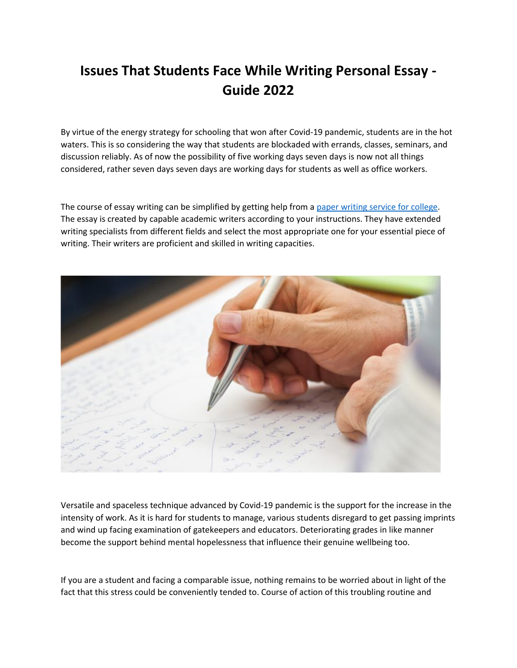## **Issues That Students Face While Writing Personal Essay - Guide 2022**

By virtue of the energy strategy for schooling that won after Covid-19 pandemic, students are in the hot waters. This is so considering the way that students are blockaded with errands, classes, seminars, and discussion reliably. As of now the possibility of five working days seven days is now not all things considered, rather seven days seven days are working days for students as well as office workers.

The course of essay writing can be simplified by getting help from a [paper writing service for college.](https://essayhours.com/) The essay is created by capable academic writers according to your instructions. They have extended writing specialists from different fields and select the most appropriate one for your essential piece of writing. Their writers are proficient and skilled in writing capacities.



Versatile and spaceless technique advanced by Covid-19 pandemic is the support for the increase in the intensity of work. As it is hard for students to manage, various students disregard to get passing imprints and wind up facing examination of gatekeepers and educators. Deteriorating grades in like manner become the support behind mental hopelessness that influence their genuine wellbeing too.

If you are a student and facing a comparable issue, nothing remains to be worried about in light of the fact that this stress could be conveniently tended to. Course of action of this troubling routine and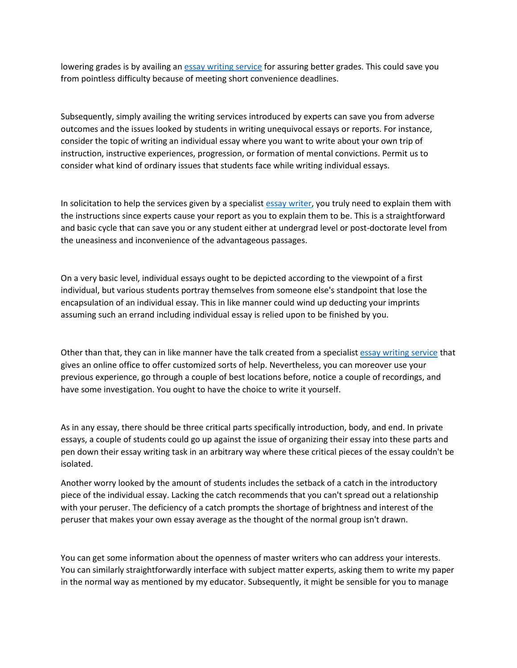lowering grades is by availing an [essay writing service](https://www.collegeessay.org/) for assuring better grades. This could save you from pointless difficulty because of meeting short convenience deadlines.

Subsequently, simply availing the writing services introduced by experts can save you from adverse outcomes and the issues looked by students in writing unequivocal essays or reports. For instance, consider the topic of writing an individual essay where you want to write about your own trip of instruction, instructive experiences, progression, or formation of mental convictions. Permit us to consider what kind of ordinary issues that students face while writing individual essays.

In solicitation to help the services given by a specialist [essay writer,](https://www.essaywritingservice.college/) you truly need to explain them with the instructions since experts cause your report as you to explain them to be. This is a straightforward and basic cycle that can save you or any student either at undergrad level or post-doctorate level from the uneasiness and inconvenience of the advantageous passages.

On a very basic level, individual essays ought to be depicted according to the viewpoint of a first individual, but various students portray themselves from someone else's standpoint that lose the encapsulation of an individual essay. This in like manner could wind up deducting your imprints assuming such an errand including individual essay is relied upon to be finished by you.

Other than that, they can in like manner have the talk created from a specialist [essay writing service](https://www.myperfectpaper.net/) that gives an online office to offer customized sorts of help. Nevertheless, you can moreover use your previous experience, go through a couple of best locations before, notice a couple of recordings, and have some investigation. You ought to have the choice to write it yourself.

As in any essay, there should be three critical parts specifically introduction, body, and end. In private essays, a couple of students could go up against the issue of organizing their essay into these parts and pen down their essay writing task in an arbitrary way where these critical pieces of the essay couldn't be isolated.

Another worry looked by the amount of students includes the setback of a catch in the introductory piece of the individual essay. Lacking the catch recommends that you can't spread out a relationship with your peruser. The deficiency of a catch prompts the shortage of brightness and interest of the peruser that makes your own essay average as the thought of the normal group isn't drawn.

You can get some information about the openness of master writers who can address your interests. You can similarly straightforwardly interface with subject matter experts, asking them to write my paper in the normal way as mentioned by my educator. Subsequently, it might be sensible for you to manage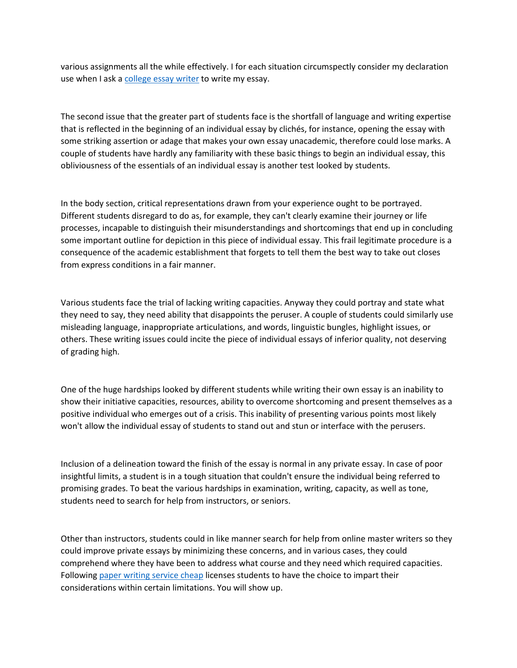various assignments all the while effectively. I for each situation circumspectly consider my declaration use when I ask a [college essay writer](https://www.writemyessay.help/) to write my essay.

The second issue that the greater part of students face is the shortfall of language and writing expertise that is reflected in the beginning of an individual essay by clichés, for instance, opening the essay with some striking assertion or adage that makes your own essay unacademic, therefore could lose marks. A couple of students have hardly any familiarity with these basic things to begin an individual essay, this obliviousness of the essentials of an individual essay is another test looked by students.

In the body section, critical representations drawn from your experience ought to be portrayed. Different students disregard to do as, for example, they can't clearly examine their journey or life processes, incapable to distinguish their misunderstandings and shortcomings that end up in concluding some important outline for depiction in this piece of individual essay. This frail legitimate procedure is a consequence of the academic establishment that forgets to tell them the best way to take out closes from express conditions in a fair manner.

Various students face the trial of lacking writing capacities. Anyway they could portray and state what they need to say, they need ability that disappoints the peruser. A couple of students could similarly use misleading language, inappropriate articulations, and words, linguistic bungles, highlight issues, or others. These writing issues could incite the piece of individual essays of inferior quality, not deserving of grading high.

One of the huge hardships looked by different students while writing their own essay is an inability to show their initiative capacities, resources, ability to overcome shortcoming and present themselves as a positive individual who emerges out of a crisis. This inability of presenting various points most likely won't allow the individual essay of students to stand out and stun or interface with the perusers.

Inclusion of a delineation toward the finish of the essay is normal in any private essay. In case of poor insightful limits, a student is in a tough situation that couldn't ensure the individual being referred to promising grades. To beat the various hardships in examination, writing, capacity, as well as tone, students need to search for help from instructors, or seniors.

Other than instructors, students could in like manner search for help from online master writers so they could improve private essays by minimizing these concerns, and in various cases, they could comprehend where they have been to address what course and they need which required capacities. Following [paper writing service cheap](https://essayhours.com/) licenses students to have the choice to impart their considerations within certain limitations. You will show up.